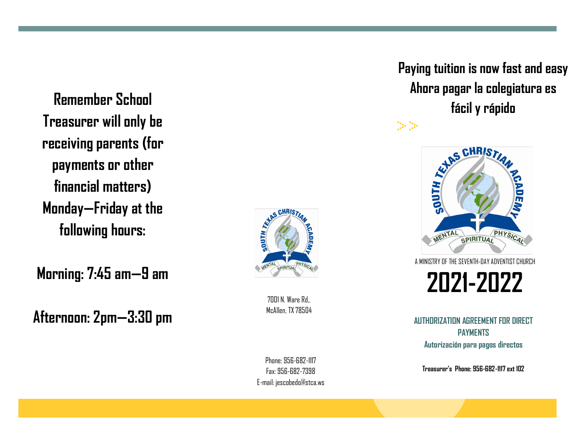**Treasurer will only be receiving parents (for payments or other financial matters) Monday —Friday at the following hours:**

**Morning: 7:45 am —9 am**

**Afternoon: 2pm —3:30 pm**



7001 N. Ware Rd,. McAllen, TX 78504

Phone: 956 -682 -1117 Fax: 956 -682 -7398 E -mail: jescobedo@stca.ws

# **Paying tuition is now fast and easy Ahora pagar la colegiatura es fácil y rápido Remember School**



 $\mathbb{C}^{\mathbb{Z}}$   $\mathbb{C}^{\mathbb{Z}}$ 

A MINISTRY OF THE SEVENTH -DAY ADVENTIST CHURCH

**2021 -2022**

**AUTHORIZATION AGREEMENT FOR DIRECT PAYMENTS Autorización para pagos directos**

**Treasurer's Phone: 956 -682 -1117 ext 102**